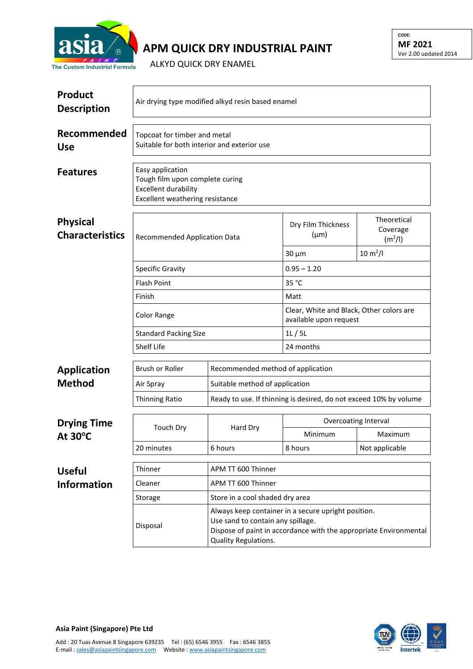

## **APM QUICK DRY INDUSTRIAL PAINT**

**CODE: MF 2021** Ver 2.00 updated 2014

ALKYD QUICK DRY ENAMEL

| <b>Product</b><br><b>Description</b>      | Air drying type modified alkyd resin based enamel                                                                     |                                                                                                                                                                                       |                                                                    |                                                |  |  |
|-------------------------------------------|-----------------------------------------------------------------------------------------------------------------------|---------------------------------------------------------------------------------------------------------------------------------------------------------------------------------------|--------------------------------------------------------------------|------------------------------------------------|--|--|
| Recommended<br><b>Use</b>                 | Topcoat for timber and metal<br>Suitable for both interior and exterior use                                           |                                                                                                                                                                                       |                                                                    |                                                |  |  |
| <b>Features</b>                           | Easy application<br>Tough film upon complete curing<br><b>Excellent durability</b><br>Excellent weathering resistance |                                                                                                                                                                                       |                                                                    |                                                |  |  |
| <b>Physical</b><br><b>Characteristics</b> | Recommended Application Data                                                                                          |                                                                                                                                                                                       | Dry Film Thickness<br>$(\mu m)$                                    | Theoretical<br>Coverage<br>(m <sup>2</sup> /I) |  |  |
|                                           |                                                                                                                       |                                                                                                                                                                                       | $30 \mu m$                                                         | $10 \, \text{m}^2$ /l                          |  |  |
|                                           | <b>Specific Gravity</b>                                                                                               |                                                                                                                                                                                       | $0.95 - 1.20$                                                      |                                                |  |  |
|                                           | <b>Flash Point</b>                                                                                                    |                                                                                                                                                                                       | 35 °C                                                              |                                                |  |  |
|                                           | Finish                                                                                                                |                                                                                                                                                                                       | Matt                                                               |                                                |  |  |
|                                           | <b>Color Range</b>                                                                                                    |                                                                                                                                                                                       | Clear, White and Black, Other colors are<br>available upon request |                                                |  |  |
|                                           | <b>Standard Packing Size</b>                                                                                          |                                                                                                                                                                                       | 1L/5L                                                              |                                                |  |  |
|                                           | Shelf Life                                                                                                            |                                                                                                                                                                                       | 24 months                                                          |                                                |  |  |
| <b>Application</b>                        | <b>Brush or Roller</b>                                                                                                | Recommended method of application                                                                                                                                                     |                                                                    |                                                |  |  |
| <b>Method</b>                             | Air Spray                                                                                                             |                                                                                                                                                                                       | Suitable method of application                                     |                                                |  |  |
|                                           | <b>Thinning Ratio</b>                                                                                                 | Ready to use. If thinning is desired, do not exceed 10% by volume                                                                                                                     |                                                                    |                                                |  |  |
| <b>Drying Time</b><br>At $30^{\circ}$ C   | <b>Touch Dry</b>                                                                                                      | Hard Dry                                                                                                                                                                              | Overcoating Interval                                               |                                                |  |  |
|                                           |                                                                                                                       |                                                                                                                                                                                       | Minimum                                                            | Maximum                                        |  |  |
|                                           | 20 minutes                                                                                                            | 6 hours                                                                                                                                                                               | 8 hours                                                            | Not applicable                                 |  |  |
| <b>Useful</b>                             | Thinner                                                                                                               | APM TT 600 Thinner                                                                                                                                                                    |                                                                    |                                                |  |  |
| <b>Information</b>                        | Cleaner                                                                                                               | APM TT 600 Thinner                                                                                                                                                                    |                                                                    |                                                |  |  |
|                                           | Storage                                                                                                               | Store in a cool shaded dry area                                                                                                                                                       |                                                                    |                                                |  |  |
|                                           | Disposal                                                                                                              | Always keep container in a secure upright position.<br>Use sand to contain any spillage.<br>Dispose of paint in accordance with the appropriate Environmental<br>Quality Regulations. |                                                                    |                                                |  |  |



E-mail [: sales@asiapaintsingapore.com](mailto:sales@asiapaintsingapore.com) Website [: www.asiapaintsingapore.com](http://www.asiapaintsingapore.com/)